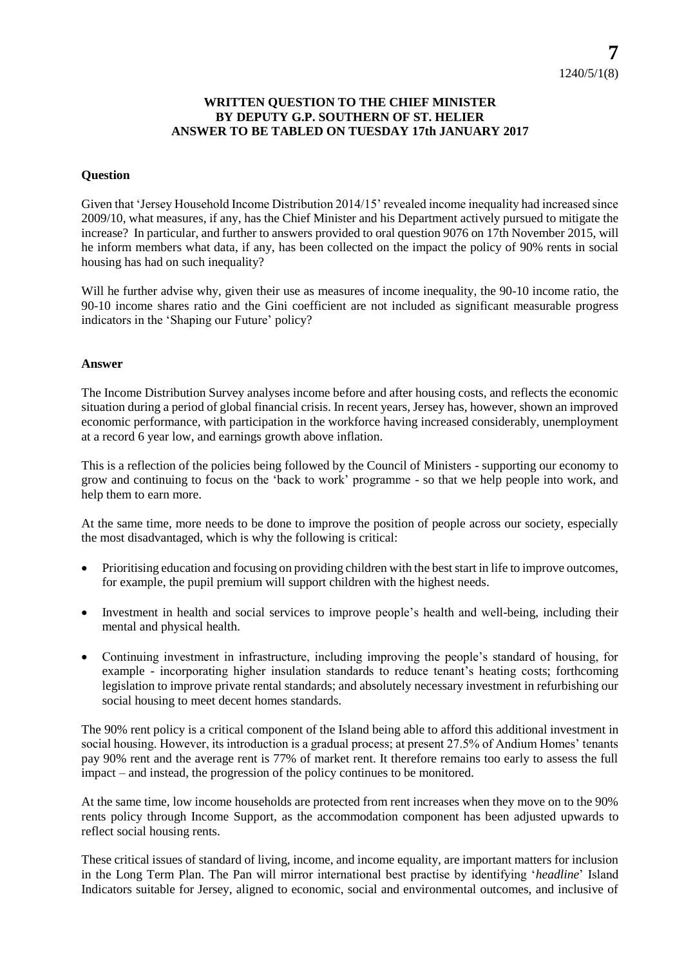## **WRITTEN QUESTION TO THE CHIEF MINISTER BY DEPUTY G.P. SOUTHERN OF ST. HELIER ANSWER TO BE TABLED ON TUESDAY 17th JANUARY 2017**

## **Question**

Given that 'Jersey Household Income Distribution 2014/15' revealed income inequality had increased since 2009/10, what measures, if any, has the Chief Minister and his Department actively pursued to mitigate the increase? In particular, and further to answers provided to oral question 9076 on 17th November 2015, will he inform members what data, if any, has been collected on the impact the policy of 90% rents in social housing has had on such inequality?

Will he further advise why, given their use as measures of income inequality, the 90-10 income ratio, the 90-10 income shares ratio and the Gini coefficient are not included as significant measurable progress indicators in the 'Shaping our Future' policy?

## **Answer**

The Income Distribution Survey analyses income before and after housing costs, and reflects the economic situation during a period of global financial crisis. In recent years, Jersey has, however, shown an improved economic performance, with participation in the workforce having increased considerably, unemployment at a record 6 year low, and earnings growth above inflation.

This is a reflection of the policies being followed by the Council of Ministers - supporting our economy to grow and continuing to focus on the 'back to work' programme - so that we help people into work, and help them to earn more.

At the same time, more needs to be done to improve the position of people across our society, especially the most disadvantaged, which is why the following is critical:

- Prioritising education and focusing on providing children with the best start in life to improve outcomes, for example, the pupil premium will support children with the highest needs.
- Investment in health and social services to improve people's health and well-being, including their mental and physical health.
- Continuing investment in infrastructure, including improving the people's standard of housing, for example - incorporating higher insulation standards to reduce tenant's heating costs; forthcoming legislation to improve private rental standards; and absolutely necessary investment in refurbishing our social housing to meet decent homes standards.

The 90% rent policy is a critical component of the Island being able to afford this additional investment in social housing. However, its introduction is a gradual process; at present 27.5% of Andium Homes' tenants pay 90% rent and the average rent is 77% of market rent. It therefore remains too early to assess the full impact – and instead, the progression of the policy continues to be monitored.

At the same time, low income households are protected from rent increases when they move on to the 90% rents policy through Income Support, as the accommodation component has been adjusted upwards to reflect social housing rents.

These critical issues of standard of living, income, and income equality, are important matters for inclusion in the Long Term Plan. The Pan will mirror international best practise by identifying '*headline*' Island Indicators suitable for Jersey, aligned to economic, social and environmental outcomes, and inclusive of